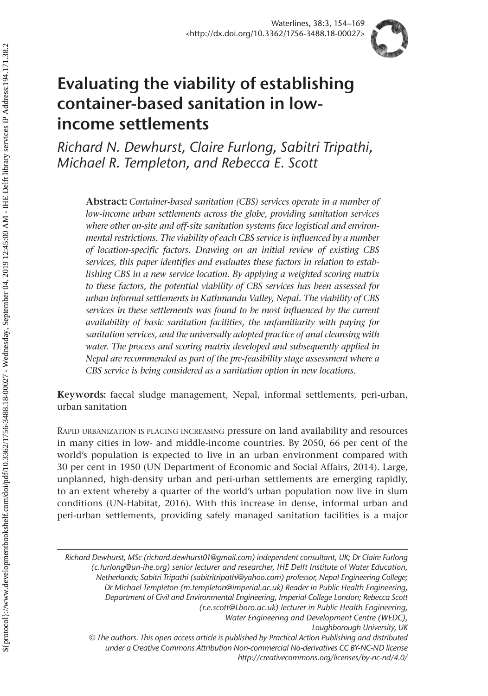

# Evaluating the viability of establishing container-based sanitation in lowincome settlements

*Richard N. Dewhurst, Claire Furlong, Sabitri Tripathi, Michael R. Templeton, and Rebecca E. Scott*

Abstract: *Container-based sanitation (CBS) services operate in a number of low-income urban settlements across the globe, providing sanitation services where other on-site and off-site sanitation systems face logistical and environmental restrictions. The viability of each CBS service is influenced by a number of location-specific factors. Drawing on an initial review of existing CBS services, this paper identifies and evaluates these factors in relation to establishing CBS in a new service location. By applying a weighted scoring matrix to these factors, the potential viability of CBS services has been assessed for urban informal settlements in Kathmandu Valley, Nepal. The viability of CBS services in these settlements was found to be most influenced by the current availability of basic sanitation facilities, the unfamiliarity with paying for sanitation services, and the universally adopted practice of anal cleansing with water. The process and scoring matrix developed and subsequently applied in Nepal are recommended as part of the pre-feasibility stage assessment where a CBS service is being considered as a sanitation option in new locations.* 

Keywords: faecal sludge management, Nepal, informal settlements, peri-urban, urban sanitation

Rapid urbanization is placing increasing pressure on land availability and resources in many cities in low- and middle-income countries. By 2050, 66 per cent of the world's population is expected to live in an urban environment compared with 30 per cent in 1950 (UN Department of Economic and Social Affairs, 2014). Large, unplanned, high-density urban and peri-urban settlements are emerging rapidly, to an extent whereby a quarter of the world's urban population now live in slum conditions (UN-Habitat, 2016). With this increase in dense, informal urban and peri-urban settlements, providing safely managed sanitation facilities is a major

*Richard Dewhurst, MSc ([richard.dewhurst01@gmail.com](mailto:richard.dewhurst01@gmail.com)) independent consultant, UK; Dr Claire Furlong ([c.furlong@un-ihe.org\)](mailto:c.furlong@un-ihe.org) senior lecturer and researcher, IHE Delft Institute of Water Education, Netherlands; Sabitri Tripathi ([sabitritripathi@yahoo.com\)](mailto:sabitritripathi@yahoo.com) professor, Nepal Engineering College; Dr Michael Templeton [\(m.templeton@imperial.ac.uk\)](mailto:m.templeton@imperial.ac.uk) Reader in Public Health Engineering, Department of Civil and Environmental Engineering, Imperial College London; Rebecca Scott ([r.e.scott@Lboro.ac.uk\)](mailto:r.e.scott@Lboro.ac.uk) lecturer in Public Health Engineering,* 

*Loughborough University, UK*

*© The authors. This open access article is published by Practical Action Publishing and distributed under a Creative Commons Attribution Non-commercial No-derivatives CC BY-NC-ND license <http://creativecommons.org/licenses/by-nc-nd/4.0/>*

*Water Engineering and Development Centre (WEDC),*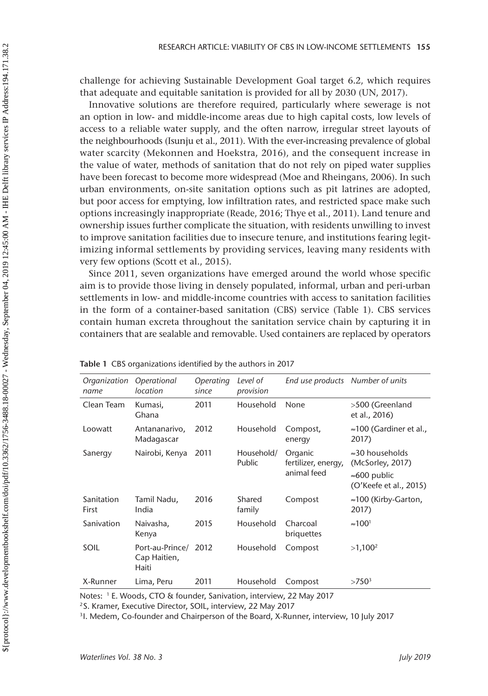<span id="page-1-0"></span>challenge for achieving Sustainable Development Goal target 6.2, which requires that adequate and equitable sanitation is provided for all by 2030 (UN, 2017).

Innovative solutions are therefore required, particularly where sewerage is not an option in low- and middle-income areas due to high capital costs, low levels of access to a reliable water supply, and the often narrow, irregular street layouts of the neighbourhoods (Isunju et al., 2011). With the ever-increasing prevalence of global water scarcity (Mekonnen and Hoekstra, 2016), and the consequent increase in the value of water, methods of sanitation that do not rely on piped water supplies have been forecast to become more widespread (Moe and Rheingans, 2006). In such urban environments, on-site sanitation options such as pit latrines are adopted, but poor access for emptying, low infiltration rates, and restricted space make such options increasingly inappropriate (Reade, 2016; Thye et al., 2011). Land tenure and ownership issues further complicate the situation, with residents unwilling to invest to improve sanitation facilities due to insecure tenure, and institutions fearing legitimizing informal settlements by providing services, leaving many residents with very few options (Scott et al., 2015).

Since 2011, seven organizations have emerged around the world whose specific aim is to provide those living in densely populated, informal, urban and peri-urban settlements in low- and middle-income countries with access to sanitation facilities in the form of a container-based sanitation (CBS) service (Table 1). CBS services contain human excreta throughout the sanitation service chain by capturing it in containers that are sealable and removable. Used containers are replaced by operators

| Organization<br>name | Operational<br>location                  | Operating<br>since | Level of<br>provision | End use products Number of units              |                                                                                               |
|----------------------|------------------------------------------|--------------------|-----------------------|-----------------------------------------------|-----------------------------------------------------------------------------------------------|
| Clean Team           | Kumasi,<br>Ghana                         | 2011               | Household             | None                                          | >500 (Greenland<br>et al., 2016)                                                              |
| Loowatt              | Antananarivo,<br>Madagascar              | 2012               | Household             | Compost,<br>energy                            | $\approx$ 100 (Gardiner et al.,<br>2017)                                                      |
| Sanergy              | Nairobi, Kenya                           | 2011               | Household/<br>Public  | Organic<br>fertilizer, energy,<br>animal feed | $\approx$ 30 households<br>(McSorley, 2017)<br>$\approx 600$ public<br>(O'Keefe et al., 2015) |
| Sanitation<br>First  | Tamil Nadu,<br>India                     | 2016               | Shared<br>family      | Compost                                       | $\approx$ 100 (Kirby-Garton,<br>2017)                                                         |
| Sanivation           | Naivasha,<br>Kenya                       | 2015               | Household             | Charcoal<br>briquettes                        | $\approx 100^1$                                                                               |
| SOIL                 | Port-au-Prince/<br>Cap Haitien,<br>Haiti | 2012               | Household             | Compost                                       | >1,100 <sup>2</sup>                                                                           |
| X-Runner             | Lima, Peru                               | 2011               | Household             | Compost                                       | $>750^3$                                                                                      |

| Table 1 CBS organizations identified by the authors in 2017 |  |
|-------------------------------------------------------------|--|
|-------------------------------------------------------------|--|

Notes: 1 E. Woods, CTO & founder, Sanivation, interview, 22 May 2017

2S. Kramer, Executive Director, SOIL, interview, 22 May 2017

3I. Medem, Co-founder and Chairperson of the Board, X-Runner, interview, 10 July 2017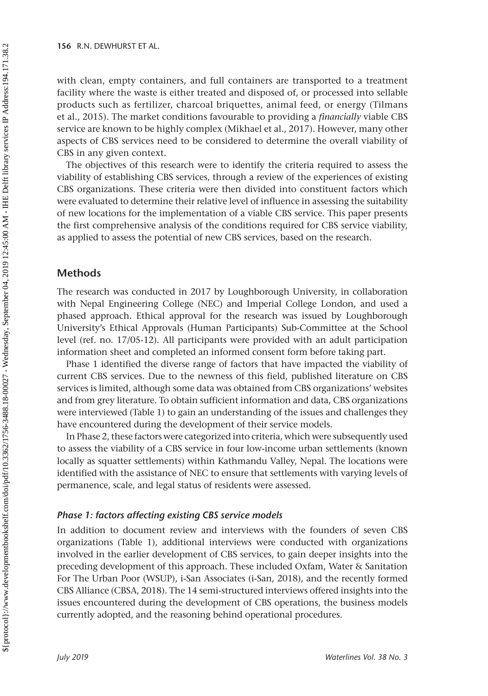with clean, empty containers, and full containers are transported to a treatment facility where the waste is either treated and disposed of, or processed into sellable products such as fertilizer, charcoal briquettes, animal feed, or energy (Tilmans et al., 2015). The market conditions favourable to providing a *financially* viable CBS service are known to be highly complex (Mikhael et al., 2017). However, many other aspects of CBS services need to be considered to determine the overall viability of CBS in any given context.

The objectives of this research were to identify the criteria required to assess the viability of establishing CBS services, through a review of the experiences of existing CBS organizations. These criteria were then divided into constituent factors which were evaluated to determine their relative level of influence in assessing the suitability of new locations for the implementation of a viable CBS service. This paper presents the first comprehensive analysis of the conditions required for CBS service viability, as applied to assess the potential of new CBS services, based on the research.

## **Methods**

The research was conducted in 2017 by Loughborough University, in collaboration with Nepal Engineering College (NEC) and Imperial College London, and used a phased approach. Ethical approval for the research was issued by Loughborough University's Ethical Approvals (Human Participants) Sub-Committee at the School level (ref. no. 17/05-12). All participants were provided with an adult participation information sheet and completed an informed consent form before taking part.

Phase 1 identified the diverse range of factors that have impacted the viability of current CBS services. Due to the newness of this field, published literature on CBS services is limited, although some data was obtained from CBS organizations' websites and from grey literature. To obtain sufficient information and data, CBS organizations were interviewed [\(Table 1](#page-1-0)) to gain an understanding of the issues and challenges they have encountered during the development of their service models.

In Phase 2, these factors were categorized into criteria, which were subsequently used to assess the viability of a CBS service in four low-income urban settlements (known locally as squatter settlements) within Kathmandu Valley, Nepal. The locations were identified with the assistance of NEC to ensure that settlements with varying levels of permanence, scale, and legal status of residents were assessed.

## *Phase 1: factors affecting existing CBS service models*

In addition to document review and interviews with the founders of seven CBS organizations [\(Table 1](#page-1-0)), additional interviews were conducted with organizations involved in the earlier development of CBS services, to gain deeper insights into the preceding development of this approach. These included Oxfam, Water & Sanitation For The Urban Poor (WSUP), i-San Associates (i-San, 2018), and the recently formed CBS Alliance (CBSA, 2018). The 14 semi-structured interviews offered insights into the issues encountered during the development of CBS operations, the business models currently adopted, and the reasoning behind operational procedures.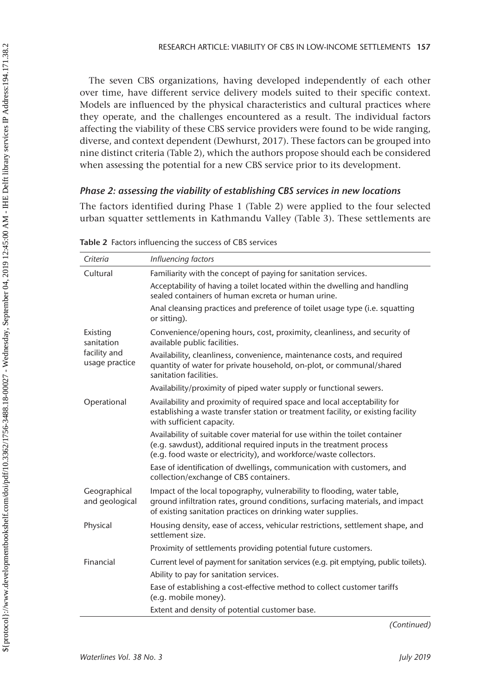<span id="page-3-0"></span>The seven CBS organizations, having developed independently of each other over time, have different service delivery models suited to their specific context. Models are influenced by the physical characteristics and cultural practices where they operate, and the challenges encountered as a result. The individual factors affecting the viability of these CBS service providers were found to be wide ranging, diverse, and context dependent (Dewhurst, 2017). These factors can be grouped into nine distinct criteria (Table 2), which the authors propose should each be considered when assessing the potential for a new CBS service prior to its development.

## *Phase 2: assessing the viability of establishing CBS services in new locations*

The factors identified during Phase 1 (Table 2) were applied to the four selected urban squatter settlements in Kathmandu Valley ([Table 3](#page-4-0)). These settlements are

| Criteria                       | Influencing factors                                                                                                                                                                                                      |  |  |  |  |  |
|--------------------------------|--------------------------------------------------------------------------------------------------------------------------------------------------------------------------------------------------------------------------|--|--|--|--|--|
| Cultural                       | Familiarity with the concept of paying for sanitation services.                                                                                                                                                          |  |  |  |  |  |
|                                | Acceptability of having a toilet located within the dwelling and handling<br>sealed containers of human excreta or human urine.                                                                                          |  |  |  |  |  |
|                                | Anal cleansing practices and preference of toilet usage type (i.e. squatting<br>or sitting).                                                                                                                             |  |  |  |  |  |
| Existing<br>sanitation         | Convenience/opening hours, cost, proximity, cleanliness, and security of<br>available public facilities.                                                                                                                 |  |  |  |  |  |
| facility and<br>usage practice | Availability, cleanliness, convenience, maintenance costs, and required<br>quantity of water for private household, on-plot, or communal/shared<br>sanitation facilities.                                                |  |  |  |  |  |
|                                | Availability/proximity of piped water supply or functional sewers.                                                                                                                                                       |  |  |  |  |  |
| Operational                    | Availability and proximity of required space and local acceptability for<br>establishing a waste transfer station or treatment facility, or existing facility<br>with sufficient capacity.                               |  |  |  |  |  |
|                                | Availability of suitable cover material for use within the toilet container<br>(e.g. sawdust), additional required inputs in the treatment process<br>(e.g. food waste or electricity), and workforce/waste collectors.  |  |  |  |  |  |
|                                | Ease of identification of dwellings, communication with customers, and<br>collection/exchange of CBS containers.                                                                                                         |  |  |  |  |  |
| Geographical<br>and geological | Impact of the local topography, vulnerability to flooding, water table,<br>ground infiltration rates, ground conditions, surfacing materials, and impact<br>of existing sanitation practices on drinking water supplies. |  |  |  |  |  |
| Physical                       | Housing density, ease of access, vehicular restrictions, settlement shape, and<br>settlement size.                                                                                                                       |  |  |  |  |  |
|                                | Proximity of settlements providing potential future customers.                                                                                                                                                           |  |  |  |  |  |
| Financial                      | Current level of payment for sanitation services (e.g. pit emptying, public toilets).                                                                                                                                    |  |  |  |  |  |
|                                | Ability to pay for sanitation services.                                                                                                                                                                                  |  |  |  |  |  |
|                                | Ease of establishing a cost-effective method to collect customer tariffs<br>(e.g. mobile money).                                                                                                                         |  |  |  |  |  |
|                                | Extent and density of potential customer base.                                                                                                                                                                           |  |  |  |  |  |

Table 2 Factors influencing the success of CBS services

*(Continued)*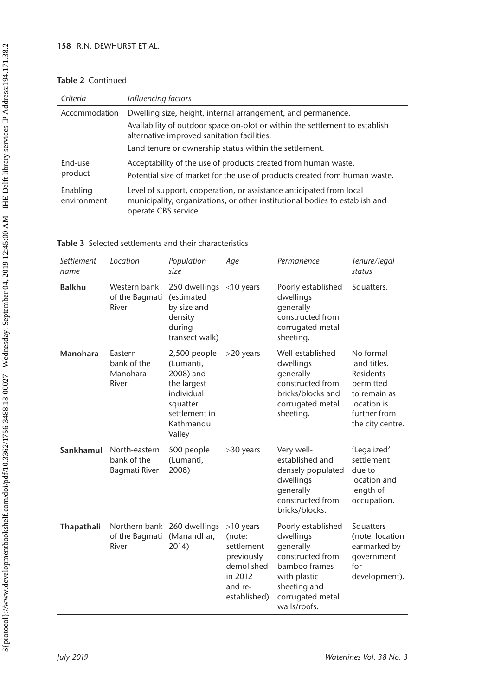## <span id="page-4-0"></span>Table 2 Continued

| Criteria                | Influencing factors                                                                                                                                                        |
|-------------------------|----------------------------------------------------------------------------------------------------------------------------------------------------------------------------|
| Accommodation           | Dwelling size, height, internal arrangement, and permanence.                                                                                                               |
|                         | Availability of outdoor space on-plot or within the settlement to establish<br>alternative improved sanitation facilities.                                                 |
|                         | Land tenure or ownership status within the settlement.                                                                                                                     |
| End-use<br>product      | Acceptability of the use of products created from human waste.<br>Potential size of market for the use of products created from human waste.                               |
| Enabling<br>environment | Level of support, cooperation, or assistance anticipated from local<br>municipality, organizations, or other institutional bodies to establish and<br>operate CBS service. |

Table 3 Selected settlements and their characteristics

| Settlement<br>name | Location                                               | Population<br>size                                                                                                      | Age                                                                                                   | Permanence                                                                                                                                            | Tenure/legal<br>status                                                                                                 |
|--------------------|--------------------------------------------------------|-------------------------------------------------------------------------------------------------------------------------|-------------------------------------------------------------------------------------------------------|-------------------------------------------------------------------------------------------------------------------------------------------------------|------------------------------------------------------------------------------------------------------------------------|
| <b>Balkhu</b>      | Western bank<br>of the Bagmati<br>River                | 250 dwellings<br>(estimated<br>by size and<br>density<br>during<br>transect walk)                                       | $<$ 10 years                                                                                          | Poorly established<br>dwellings<br>generally<br>constructed from<br>corrugated metal<br>sheeting.                                                     | Squatters.                                                                                                             |
| Manohara           | Eastern<br>bank of the<br>Manohara<br>River            | 2,500 people<br>(Lumanti,<br>2008) and<br>the largest<br>individual<br>squatter<br>settlement in<br>Kathmandu<br>Valley | >20 years                                                                                             | Well-established<br>dwellings<br>generally<br>constructed from<br>bricks/blocks and<br>corrugated metal<br>sheeting.                                  | No formal<br>land titles.<br>Residents<br>permitted<br>to remain as<br>location is<br>further from<br>the city centre. |
| Sankhamul          | North-eastern<br>bank of the<br>Bagmati River          | 500 people<br>(Lumanti,<br>2008)                                                                                        | >30 years                                                                                             | Very well-<br>established and<br>densely populated<br>dwellings<br>generally<br>constructed from<br>bricks/blocks.                                    | 'Legalized'<br>settlement<br>due to<br>location and<br>length of<br>occupation.                                        |
| Thapathali         | Northern bank 260 dwellings<br>of the Bagmati<br>River | (Manandhar,<br>2014)                                                                                                    | $>10$ years<br>(note:<br>settlement<br>previously<br>demolished<br>in 2012<br>and re-<br>established) | Poorly established<br>dwellings<br>generally<br>constructed from<br>bamboo frames<br>with plastic<br>sheeting and<br>corrugated metal<br>walls/roofs. | Squatters<br>(note: location<br>earmarked by<br>qovernment<br>for<br>development).                                     |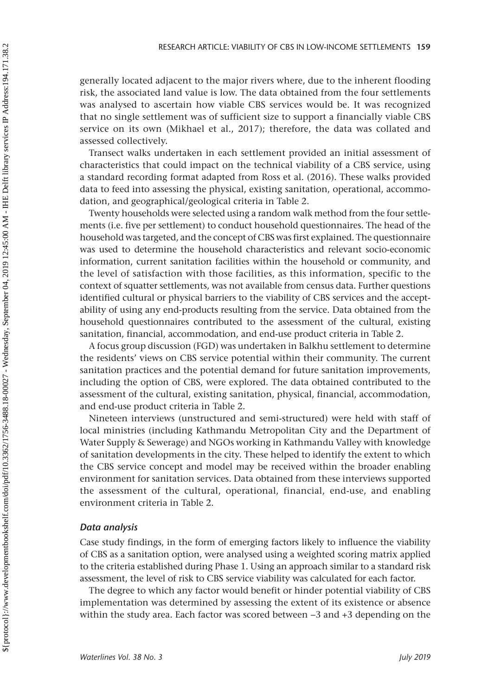generally located adjacent to the major rivers where, due to the inherent flooding risk, the associated land value is low. The data obtained from the four settlements was analysed to ascertain how viable CBS services would be. It was recognized that no single settlement was of sufficient size to support a financially viable CBS service on its own (Mikhael et al., 2017); therefore, the data was collated and assessed collectively.

Transect walks undertaken in each settlement provided an initial assessment of characteristics that could impact on the technical viability of a CBS service, using a standard recording format adapted from Ross et al. (2016). These walks provided data to feed into assessing the physical, existing sanitation, operational, accommodation, and geographical/geological criteria in [Table 2](#page-3-0).

Twenty households were selected using a random walk method from the four settlements (i.e. five per settlement) to conduct household questionnaires. The head of the household was targeted, and the concept of CBS was first explained. The questionnaire was used to determine the household characteristics and relevant socio-economic information, current sanitation facilities within the household or community, and the level of satisfaction with those facilities, as this information, specific to the context of squatter settlements, was not available from census data. Further questions identified cultural or physical barriers to the viability of CBS services and the acceptability of using any end-products resulting from the service. Data obtained from the household questionnaires contributed to the assessment of the cultural, existing sanitation, financial, accommodation, and end-use product criteria in [Table 2.](#page-3-0)

A focus group discussion (FGD) was undertaken in Balkhu settlement to determine the residents' views on CBS service potential within their community. The current sanitation practices and the potential demand for future sanitation improvements, including the option of CBS, were explored. The data obtained contributed to the assessment of the cultural, existing sanitation, physical, financial, accommodation, and end-use product criteria in [Table 2](#page-3-0).

Nineteen interviews (unstructured and semi-structured) were held with staff of local ministries (including Kathmandu Metropolitan City and the Department of Water Supply & Sewerage) and NGOs working in Kathmandu Valley with knowledge of sanitation developments in the city. These helped to identify the extent to which the CBS service concept and model may be received within the broader enabling environment for sanitation services. Data obtained from these interviews supported the assessment of the cultural, operational, financial, end-use, and enabling environment criteria in [Table 2](#page-3-0).

#### *Data analysis*

Case study findings, in the form of emerging factors likely to influence the viability of CBS as a sanitation option, were analysed using a weighted scoring matrix applied to the criteria established during Phase 1. Using an approach similar to a standard risk assessment, the level of risk to CBS service viability was calculated for each factor.

The degree to which any factor would benefit or hinder potential viability of CBS implementation was determined by assessing the extent of its existence or absence within the study area. Each factor was scored between -3 and +3 depending on the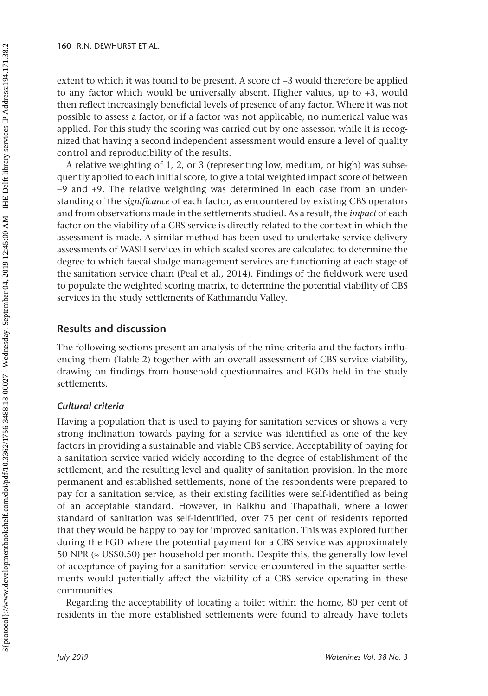extent to which it was found to be present. A score of −3 would therefore be applied to any factor which would be universally absent. Higher values, up to +3, would then reflect increasingly beneficial levels of presence of any factor. Where it was not possible to assess a factor, or if a factor was not applicable, no numerical value was applied. For this study the scoring was carried out by one assessor, while it is recognized that having a second independent assessment would ensure a level of quality control and reproducibility of the results.

A relative weighting of 1, 2, or 3 (representing low, medium, or high) was subsequently applied to each initial score, to give a total weighted impact score of between −9 and +9. The relative weighting was determined in each case from an understanding of the *significance* of each factor, as encountered by existing CBS operators and from observations made in the settlements studied. As a result, the *impact* of each factor on the viability of a CBS service is directly related to the context in which the assessment is made. A similar method has been used to undertake service delivery assessments of WASH services in which scaled scores are calculated to determine the degree to which faecal sludge management services are functioning at each stage of the sanitation service chain (Peal et al., 2014). Findings of the fieldwork were used to populate the weighted scoring matrix, to determine the potential viability of CBS services in the study settlements of Kathmandu Valley.

## **Results and discussion**

The following sections present an analysis of the nine criteria and the factors influencing them [\(Table 2\)](#page-3-0) together with an overall assessment of CBS service viability, drawing on findings from household questionnaires and FGDs held in the study settlements.

## *Cultural criteria*

Having a population that is used to paying for sanitation services or shows a very strong inclination towards paying for a service was identified as one of the key factors in providing a sustainable and viable CBS service. Acceptability of paying for a sanitation service varied widely according to the degree of establishment of the settlement, and the resulting level and quality of sanitation provision. In the more permanent and established settlements, none of the respondents were prepared to pay for a sanitation service, as their existing facilities were self-identified as being of an acceptable standard. However, in Balkhu and Thapathali, where a lower standard of sanitation was self-identified, over 75 per cent of residents reported that they would be happy to pay for improved sanitation. This was explored further during the FGD where the potential payment for a CBS service was approximately 50 NPR ( $\approx$  US\$0.50) per household per month. Despite this, the generally low level of acceptance of paying for a sanitation service encountered in the squatter settlements would potentially affect the viability of a CBS service operating in these communities.

Regarding the acceptability of locating a toilet within the home, 80 per cent of residents in the more established settlements were found to already have toilets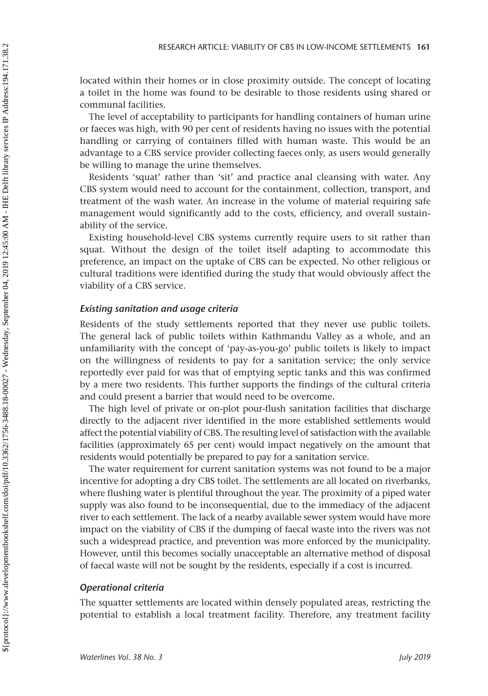located within their homes or in close proximity outside. The concept of locating a toilet in the home was found to be desirable to those residents using shared or communal facilities.

The level of acceptability to participants for handling containers of human urine or faeces was high, with 90 per cent of residents having no issues with the potential handling or carrying of containers filled with human waste. This would be an advantage to a CBS service provider collecting faeces only, as users would generally be willing to manage the urine themselves.

Residents 'squat' rather than 'sit' and practice anal cleansing with water. Any CBS system would need to account for the containment, collection, transport, and treatment of the wash water. An increase in the volume of material requiring safe management would significantly add to the costs, efficiency, and overall sustainability of the service.

Existing household-level CBS systems currently require users to sit rather than squat. Without the design of the toilet itself adapting to accommodate this preference, an impact on the uptake of CBS can be expected. No other religious or cultural traditions were identified during the study that would obviously affect the viability of a CBS service.

## *Existing sanitation and usage criteria*

Residents of the study settlements reported that they never use public toilets. The general lack of public toilets within Kathmandu Valley as a whole, and an unfamiliarity with the concept of 'pay-as-you-go' public toilets is likely to impact on the willingness of residents to pay for a sanitation service; the only service reportedly ever paid for was that of emptying septic tanks and this was confirmed by a mere two residents. This further supports the findings of the cultural criteria and could present a barrier that would need to be overcome.

The high level of private or on-plot pour-flush sanitation facilities that discharge directly to the adjacent river identified in the more established settlements would affect the potential viability of CBS. The resulting level of satisfaction with the available facilities (approximately 65 per cent) would impact negatively on the amount that residents would potentially be prepared to pay for a sanitation service.

The water requirement for current sanitation systems was not found to be a major incentive for adopting a dry CBS toilet. The settlements are all located on riverbanks, where flushing water is plentiful throughout the year. The proximity of a piped water supply was also found to be inconsequential, due to the immediacy of the adjacent river to each settlement. The lack of a nearby available sewer system would have more impact on the viability of CBS if the dumping of faecal waste into the rivers was not such a widespread practice, and prevention was more enforced by the municipality. However, until this becomes socially unacceptable an alternative method of disposal of faecal waste will not be sought by the residents, especially if a cost is incurred.

#### *Operational criteria*

The squatter settlements are located within densely populated areas, restricting the potential to establish a local treatment facility. Therefore, any treatment facility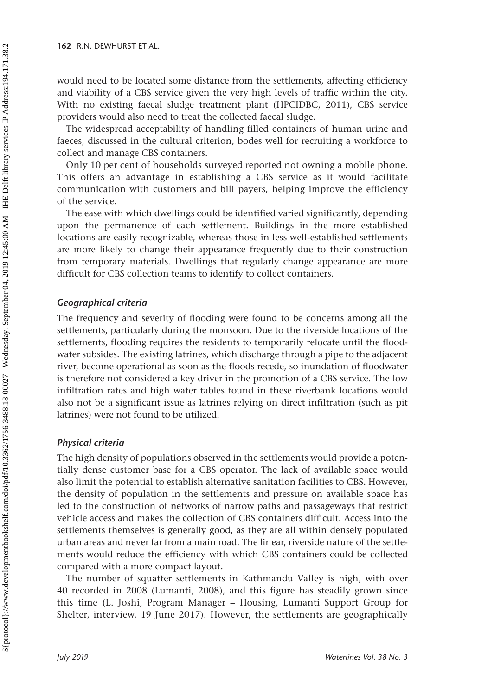would need to be located some distance from the settlements, affecting efficiency and viability of a CBS service given the very high levels of traffic within the city. With no existing faecal sludge treatment plant (HPCIDBC, 2011), CBS service providers would also need to treat the collected faecal sludge.

The widespread acceptability of handling filled containers of human urine and faeces, discussed in the cultural criterion, bodes well for recruiting a workforce to collect and manage CBS containers.

Only 10 per cent of households surveyed reported not owning a mobile phone. This offers an advantage in establishing a CBS service as it would facilitate communication with customers and bill payers, helping improve the efficiency of the service.

The ease with which dwellings could be identified varied significantly, depending upon the permanence of each settlement. Buildings in the more established locations are easily recognizable, whereas those in less well-established settlements are more likely to change their appearance frequently due to their construction from temporary materials. Dwellings that regularly change appearance are more difficult for CBS collection teams to identify to collect containers.

## *Geographical criteria*

The frequency and severity of flooding were found to be concerns among all the settlements, particularly during the monsoon. Due to the riverside locations of the settlements, flooding requires the residents to temporarily relocate until the floodwater subsides. The existing latrines, which discharge through a pipe to the adjacent river, become operational as soon as the floods recede, so inundation of floodwater is therefore not considered a key driver in the promotion of a CBS service. The low infiltration rates and high water tables found in these riverbank locations would also not be a significant issue as latrines relying on direct infiltration (such as pit latrines) were not found to be utilized.

## *Physical criteria*

The high density of populations observed in the settlements would provide a potentially dense customer base for a CBS operator. The lack of available space would also limit the potential to establish alternative sanitation facilities to CBS. However, the density of population in the settlements and pressure on available space has led to the construction of networks of narrow paths and passageways that restrict vehicle access and makes the collection of CBS containers difficult. Access into the settlements themselves is generally good, as they are all within densely populated urban areas and never far from a main road. The linear, riverside nature of the settlements would reduce the efficiency with which CBS containers could be collected compared with a more compact layout.

The number of squatter settlements in Kathmandu Valley is high, with over 40 recorded in 2008 (Lumanti, 2008), and this figure has steadily grown since this time (L. Joshi, Program Manager – Housing, Lumanti Support Group for Shelter, interview, 19 June 2017). However, the settlements are geographically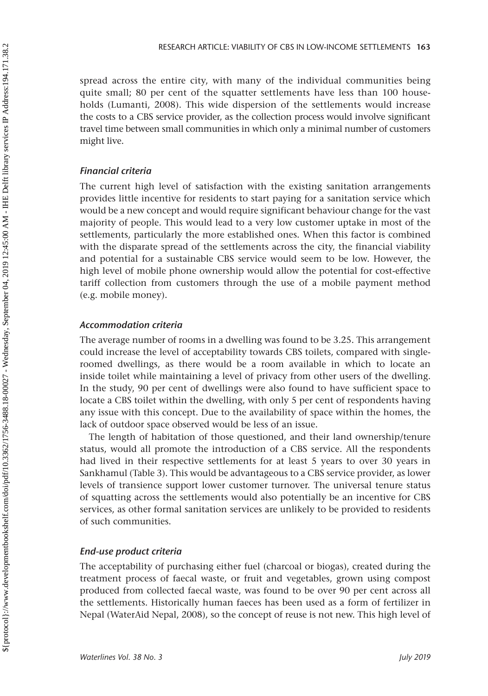spread across the entire city, with many of the individual communities being quite small; 80 per cent of the squatter settlements have less than 100 households (Lumanti, 2008). This wide dispersion of the settlements would increase the costs to a CBS service provider, as the collection process would involve significant travel time between small communities in which only a minimal number of customers might live.

## *Financial criteria*

The current high level of satisfaction with the existing sanitation arrangements provides little incentive for residents to start paying for a sanitation service which would be a new concept and would require significant behaviour change for the vast majority of people. This would lead to a very low customer uptake in most of the settlements, particularly the more established ones. When this factor is combined with the disparate spread of the settlements across the city, the financial viability and potential for a sustainable CBS service would seem to be low. However, the high level of mobile phone ownership would allow the potential for cost-effective tariff collection from customers through the use of a mobile payment method (e.g. mobile money).

#### *Accommodation criteria*

The average number of rooms in a dwelling was found to be 3.25. This arrangement could increase the level of acceptability towards CBS toilets, compared with singleroomed dwellings, as there would be a room available in which to locate an inside toilet while maintaining a level of privacy from other users of the dwelling. In the study, 90 per cent of dwellings were also found to have sufficient space to locate a CBS toilet within the dwelling, with only 5 per cent of respondents having any issue with this concept. Due to the availability of space within the homes, the lack of outdoor space observed would be less of an issue.

The length of habitation of those questioned, and their land ownership/tenure status, would all promote the introduction of a CBS service. All the respondents had lived in their respective settlements for at least 5 years to over 30 years in Sankhamul ([Table 3](#page-4-0)). This would be advantageous to a CBS service provider, as lower levels of transience support lower customer turnover. The universal tenure status of squatting across the settlements would also potentially be an incentive for CBS services, as other formal sanitation services are unlikely to be provided to residents of such communities.

## *End-use product criteria*

The acceptability of purchasing either fuel (charcoal or biogas), created during the treatment process of faecal waste, or fruit and vegetables, grown using compost produced from collected faecal waste, was found to be over 90 per cent across all the settlements. Historically human faeces has been used as a form of fertilizer in Nepal (WaterAid Nepal, 2008), so the concept of reuse is not new. This high level of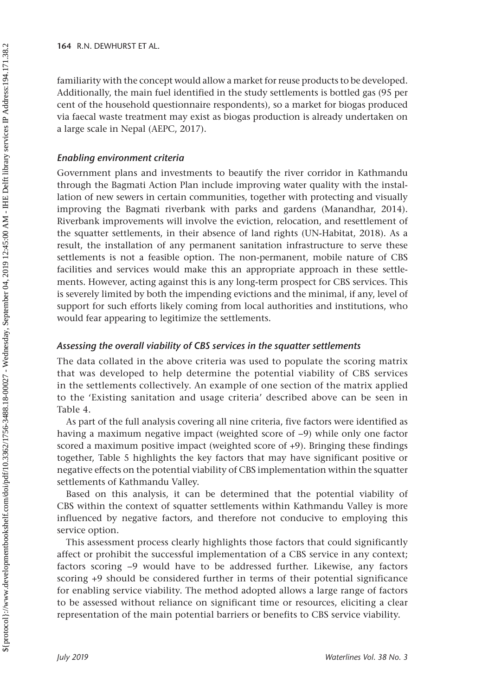familiarity with the concept would allow a market for reuse products to be developed. Additionally, the main fuel identified in the study settlements is bottled gas (95 per cent of the household questionnaire respondents), so a market for biogas produced via faecal waste treatment may exist as biogas production is already undertaken on a large scale in Nepal (AEPC, 2017).

## *Enabling environment criteria*

Government plans and investments to beautify the river corridor in Kathmandu through the Bagmati Action Plan include improving water quality with the installation of new sewers in certain communities, together with protecting and visually improving the Bagmati riverbank with parks and gardens (Manandhar, 2014). Riverbank improvements will involve the eviction, relocation, and resettlement of the squatter settlements, in their absence of land rights (UN-Habitat, 2018). As a result, the installation of any permanent sanitation infrastructure to serve these settlements is not a feasible option. The non-permanent, mobile nature of CBS facilities and services would make this an appropriate approach in these settlements. However, acting against this is any long-term prospect for CBS services. This is severely limited by both the impending evictions and the minimal, if any, level of support for such efforts likely coming from local authorities and institutions, who would fear appearing to legitimize the settlements.

## *Assessing the overall viability of CBS services in the squatter settlements*

The data collated in the above criteria was used to populate the scoring matrix that was developed to help determine the potential viability of CBS services in the settlements collectively. An example of one section of the matrix applied to the 'Existing sanitation and usage criteria' described above can be seen in [Table](#page-11-0) 4.

As part of the full analysis covering all nine criteria, five factors were identified as having a maximum negative impact (weighted score of −9) while only one factor scored a maximum positive impact (weighted score of +9). Bringing these findings together, [Table 5](#page-12-0) highlights the key factors that may have significant positive or negative effects on the potential viability of CBS implementation within the squatter settlements of Kathmandu Valley.

Based on this analysis, it can be determined that the potential viability of CBS within the context of squatter settlements within Kathmandu Valley is more influenced by negative factors, and therefore not conducive to employing this service option.

This assessment process clearly highlights those factors that could significantly affect or prohibit the successful implementation of a CBS service in any context; factors scoring −9 would have to be addressed further. Likewise, any factors scoring +9 should be considered further in terms of their potential significance for enabling service viability. The method adopted allows a large range of factors to be assessed without reliance on significant time or resources, eliciting a clear representation of the main potential barriers or benefits to CBS service viability.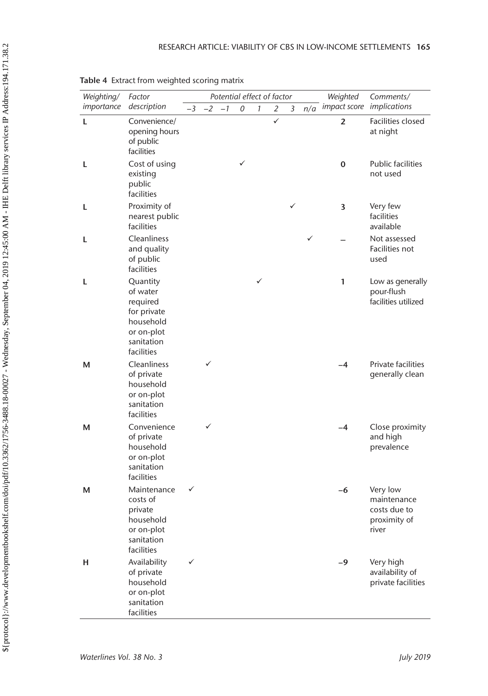| Weighting/ | Factor                                                                                                 | Potential effect of factor |           |   | Weighted      | Comments/      |                |     |                |                                                                  |
|------------|--------------------------------------------------------------------------------------------------------|----------------------------|-----------|---|---------------|----------------|----------------|-----|----------------|------------------------------------------------------------------|
| importance | description                                                                                            | $-3$                       | $-2$ $-1$ | 0 | $\mathcal{I}$ | $\overline{2}$ | $\mathfrak{Z}$ | n/a | impact score   | implications                                                     |
| L          | Convenience/<br>opening hours<br>of public<br>facilities                                               |                            |           |   |               | ✓              |                |     | $\overline{2}$ | Facilities closed<br>at night                                    |
| L          | Cost of using<br>existing<br>public<br>facilities                                                      |                            |           | ✓ |               |                |                |     | 0              | <b>Public facilities</b><br>not used                             |
| L          | Proximity of<br>nearest public<br>facilities                                                           |                            |           |   |               |                | ✓              |     | 3              | Very few<br>facilities<br>available                              |
| L          | Cleanliness<br>and quality<br>of public<br>facilities                                                  |                            |           |   |               |                |                |     |                | Not assessed<br>Facilities not<br>used                           |
| L          | Quantity<br>of water<br>required<br>for private<br>household<br>or on-plot<br>sanitation<br>facilities |                            |           |   |               |                |                |     | 1              | Low as generally<br>pour-flush<br>facilities utilized            |
| м          | Cleanliness<br>of private<br>household<br>or on-plot<br>sanitation<br>facilities                       |                            |           |   |               |                |                |     | $-4$           | <b>Private facilities</b><br>generally clean                     |
| м          | Convenience<br>of private<br>household<br>or on-plot<br>sanitation<br>facilities                       |                            |           |   |               |                |                |     | $-4$           | Close proximity<br>and high<br>prevalence                        |
| м          | Maintenance<br>costs of<br>private<br>household<br>or on-plot<br>sanitation<br>facilities              |                            |           |   |               |                |                |     | $-6$           | Very low<br>maintenance<br>costs due to<br>proximity of<br>river |
| н          | Availability<br>of private<br>household<br>or on-plot<br>sanitation<br>facilities                      | ✓                          |           |   |               |                |                |     | -9             | Very high<br>availability of<br>private facilities               |

<span id="page-11-0"></span>Table 4 Extract from weighted scoring matrix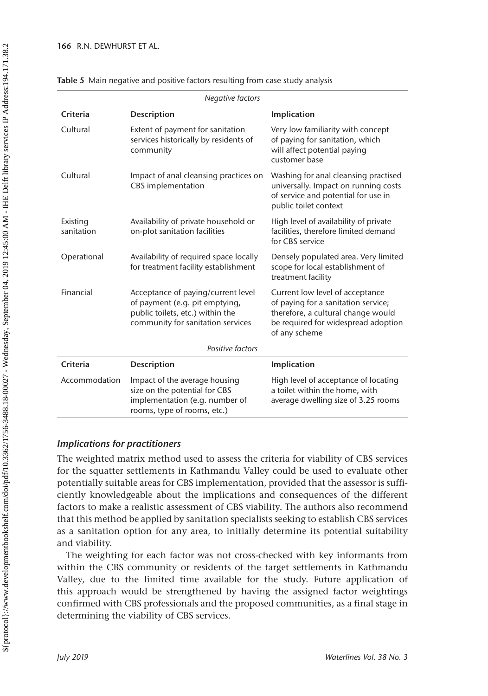| Negative factors       |                                                                                                                                               |                                                                                                                                                                      |  |  |  |  |
|------------------------|-----------------------------------------------------------------------------------------------------------------------------------------------|----------------------------------------------------------------------------------------------------------------------------------------------------------------------|--|--|--|--|
| Criteria               | Description                                                                                                                                   | Implication                                                                                                                                                          |  |  |  |  |
| Cultural               | Extent of payment for sanitation<br>services historically by residents of<br>community                                                        | Very low familiarity with concept<br>of paying for sanitation, which<br>will affect potential paying<br>customer base                                                |  |  |  |  |
| Cultural               | Impact of anal cleansing practices on<br><b>CBS</b> implementation                                                                            | Washing for anal cleansing practised<br>universally. Impact on running costs<br>of service and potential for use in<br>public toilet context                         |  |  |  |  |
| Existing<br>sanitation | Availability of private household or<br>on-plot sanitation facilities                                                                         | High level of availability of private<br>facilities, therefore limited demand<br>for CBS service                                                                     |  |  |  |  |
| Operational            | Availability of required space locally<br>for treatment facility establishment                                                                | Densely populated area. Very limited<br>scope for local establishment of<br>treatment facility                                                                       |  |  |  |  |
| Financial              | Acceptance of paying/current level<br>of payment (e.g. pit emptying,<br>public toilets, etc.) within the<br>community for sanitation services | Current low level of acceptance<br>of paying for a sanitation service;<br>therefore, a cultural change would<br>be required for widespread adoption<br>of any scheme |  |  |  |  |
| Positive factors       |                                                                                                                                               |                                                                                                                                                                      |  |  |  |  |
| Criteria               | <b>Description</b>                                                                                                                            | Implication                                                                                                                                                          |  |  |  |  |
| Accommodation          | Impact of the average housing<br>size on the potential for CBS<br>implementation (e.g. number of<br>rooms, type of rooms, etc.)               | High level of acceptance of locating<br>a toilet within the home, with<br>average dwelling size of 3.25 rooms                                                        |  |  |  |  |

<span id="page-12-0"></span>Table 5 Main negative and positive factors resulting from case study analysis

#### *Implications for practitioners*

The weighted matrix method used to assess the criteria for viability of CBS services for the squatter settlements in Kathmandu Valley could be used to evaluate other potentially suitable areas for CBS implementation, provided that the assessor is sufficiently knowledgeable about the implications and consequences of the different factors to make a realistic assessment of CBS viability. The authors also recommend that this method be applied by sanitation specialists seeking to establish CBS services as a sanitation option for any area, to initially determine its potential suitability and viability.

The weighting for each factor was not cross-checked with key informants from within the CBS community or residents of the target settlements in Kathmandu Valley, due to the limited time available for the study. Future application of this approach would be strengthened by having the assigned factor weightings confirmed with CBS professionals and the proposed communities, as a final stage in determining the viability of CBS services.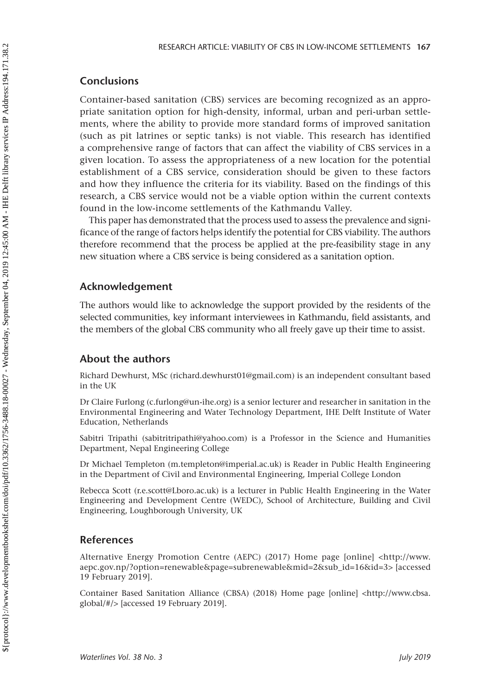# **Conclusions**

Container-based sanitation (CBS) services are becoming recognized as an appropriate sanitation option for high-density, informal, urban and peri-urban settlements, where the ability to provide more standard forms of improved sanitation (such as pit latrines or septic tanks) is not viable. This research has identified a comprehensive range of factors that can affect the viability of CBS services in a given location. To assess the appropriateness of a new location for the potential establishment of a CBS service, consideration should be given to these factors and how they influence the criteria for its viability. Based on the findings of this research, a CBS service would not be a viable option within the current contexts found in the low-income settlements of the Kathmandu Valley.

This paper has demonstrated that the process used to assess the prevalence and significance of the range of factors helps identify the potential for CBS viability. The authors therefore recommend that the process be applied at the pre-feasibility stage in any new situation where a CBS service is being considered as a sanitation option.

# **Acknowledgement**

The authors would like to acknowledge the support provided by the residents of the selected communities, key informant interviewees in Kathmandu, field assistants, and the members of the global CBS community who all freely gave up their time to assist.

## **About the authors**

Richard Dewhurst, MSc ([richard.dewhurst01@gmail.com](mailto:richard.dewhurst01@gmail.com)) is an independent consultant based in the UK

Dr Claire Furlong [\(c.furlong@un-ihe.org\)](mailto:c.furlong@un-ihe.org) is a senior lecturer and researcher in sanitation in the Environmental Engineering and Water Technology Department, IHE Delft Institute of Water Education, Netherlands

Sabitri Tripathi [\(sabitritripathi@yahoo.com\)](mailto:sabitritripathi@yahoo.com) is a Professor in the Science and Humanities Department, Nepal Engineering College

Dr Michael Templeton [\(m.templeton@imperial.ac.uk\)](mailto:m.templeton@imperial.ac.uk) is Reader in Public Health Engineering in the Department of Civil and Environmental Engineering, Imperial College London

Rebecca Scott [\(r.e.scott@Lboro.ac.uk\)](mailto:r.e.scott@Lboro.ac.uk) is a lecturer in Public Health Engineering in the Water Engineering and Development Centre (WEDC), School of Architecture, Building and Civil Engineering, Loughborough University, UK

# **References**

Alternative Energy Promotion Centre (AEPC) (2017) Home page [online] <[http://www.](http://www.aepc.gov.np/?option=renewable&page=subrenewable&mid=2&sub_id=16&id=3) [aepc.gov.np/?option=renewable&page=subrenewable&mid=2&sub\\_id=16&id=3>](http://www.aepc.gov.np/?option=renewable&page=subrenewable&mid=2&sub_id=16&id=3) [accessed 19 February 2019].

Container Based Sanitation Alliance (CBSA) (2018) Home page [online] [<http://www.cbsa.](http://www.cbsa.global/#/) [global/#/>](http://www.cbsa.global/#/) [accessed 19 February 2019].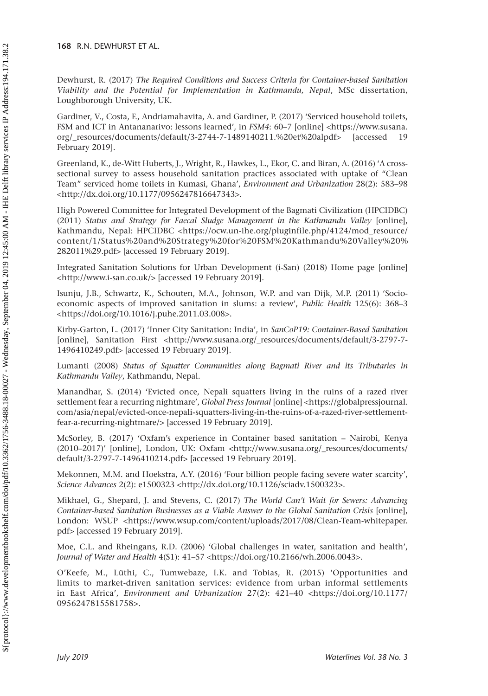Dewhurst, R. (2017) *The Required Conditions and Success Criteria for Container-based Sanitation Viability and the Potential for Implementation in Kathmandu, Nepal*, MSc dissertation, Loughborough University, UK.

Gardiner, V., Costa, F., Andriamahavita, A. and Gardiner, P. (2017) 'Serviced household toilets, FSM and ICT in Antananarivo: lessons learned', in *FSM4*: 60–7 [online] [<https://www.susana.](https://www.susana.org/_resources/documents/default/3-2744-7-1489140211.%20et%20alpdf) [org/\\_resources/documents/default/3-2744-7-1489140211.%20et%20alpdf](https://www.susana.org/_resources/documents/default/3-2744-7-1489140211.%20et%20alpdf)> [accessed 19 February 2019].

Greenland, K., de-Witt Huberts, J., Wright, R., Hawkes, L., Ekor, C. and Biran, A. (2016) 'A crosssectional survey to assess household sanitation practices associated with uptake of "Clean Team" serviced home toilets in Kumasi, Ghana', *Environment and Urbanization* 28(2): 583–98 <[http://dx.doi.org/10.1177/0956247816647343>](http://dx.doi.org/10.1177/0956247816647343).

High Powered Committee for Integrated Development of the Bagmati Civilization (HPCIDBC) (2011) *Status and Strategy for Faecal Sludge Management in the Kathmandu Valley* [online], Kathmandu, Nepal: HPCIDBC [<https://ocw.un-ihe.org/pluginfile.php/4124/mod\\_resource/](https://ocw.un-ihe.org/pluginfile.php/4124/mod_resource/content/1/Status%20and%20Strategy%20for%20FSM%20Kathmandu%20Valley%20%282011%29.pdf) [content/1/Status%20and%20Strategy%20for%20FSM%20Kathmandu%20Valley%20%](https://ocw.un-ihe.org/pluginfile.php/4124/mod_resource/content/1/Status%20and%20Strategy%20for%20FSM%20Kathmandu%20Valley%20%282011%29.pdf) [282011%29.pdf>](https://ocw.un-ihe.org/pluginfile.php/4124/mod_resource/content/1/Status%20and%20Strategy%20for%20FSM%20Kathmandu%20Valley%20%282011%29.pdf) [accessed 19 February 2019].

Integrated Sanitation Solutions for Urban Development (i-San) (2018) Home page [online] [<http://www.i-san.co.uk/>](http://www.i-san.co.uk/) [accessed 19 February 2019].

Isunju, J.B., Schwartz, K., Schouten, M.A., Johnson, W.P. and van Dijk, M.P. (2011) 'Socioeconomic aspects of improved sanitation in slums: a review', *Public Health* 125(6): 368–3 <[https://doi.org/10.1016/j.puhe.2011.03.008>](https://doi.org/10.1016/j.puhe.2011.03.008).

Kirby-Garton, L. (2017) 'Inner City Sanitation: India', in *SanCoP19: Container-Based Sanitation* [online], Sanitation First <[http://www.susana.org/\\_resources/documents/default/3-2797-7-](http://www.susana.org/_resources/documents/default/3-2797-7-1496410249.pdf) [1496410249.pdf](http://www.susana.org/_resources/documents/default/3-2797-7-1496410249.pdf)> [accessed 19 February 2019].

Lumanti (2008) *Status of Squatter Communities along Bagmati River and its Tributaries in Kathmandu Valley*, Kathmandu, Nepal.

Manandhar, S. (2014) 'Evicted once, Nepali squatters living in the ruins of a razed river settlement fear a recurring nightmare', *Global Press Journal* [online] <[https://globalpressjournal.](https://globalpressjournal.com/asia/nepal/evicted-once-nepali-squatters-living-in-the-ruins-of-a-razed-river-settlement-fear-a-recurring-nightmare/) [com/asia/nepal/evicted-once-nepali-squatters-living-in-the-ruins-of-a-razed-river-settlement](https://globalpressjournal.com/asia/nepal/evicted-once-nepali-squatters-living-in-the-ruins-of-a-razed-river-settlement-fear-a-recurring-nightmare/)[fear-a-recurring-nightmare/>](https://globalpressjournal.com/asia/nepal/evicted-once-nepali-squatters-living-in-the-ruins-of-a-razed-river-settlement-fear-a-recurring-nightmare/) [accessed 19 February 2019].

McSorley, B. (2017) 'Oxfam's experience in Container based sanitation – Nairobi, Kenya (2010–2017)' [online], London, UK: Oxfam [<http://www.susana.org/\\_resources/documents/](http://www.susana.org/_resources/documents/default/3-2797-7-1496410214.pdf) [default/3-2797-7-1496410214.pdf>](http://www.susana.org/_resources/documents/default/3-2797-7-1496410214.pdf) [accessed 19 February 2019].

Mekonnen, M.M. and Hoekstra, A.Y. (2016) 'Four billion people facing severe water scarcity', *Science Advances* 2(2): e1500323 <<http://dx.doi.org/10.1126/sciadv.1500323>>.

Mikhael, G., Shepard, J. and Stevens, C. (2017) *The World Can't Wait for Sewers: Advancing Container-based Sanitation Businesses as a Viable Answer to the Global Sanitation Crisis* [online], London: WSUP [<https://www.wsup.com/content/uploads/2017/08/Clean-Team-whitepaper.](https://www.wsup.com/content/uploads/2017/08/Clean-Team-whitepaper.pdf) [pdf>](https://www.wsup.com/content/uploads/2017/08/Clean-Team-whitepaper.pdf) [accessed 19 February 2019].

Moe, C.L. and Rheingans, R.D. (2006) 'Global challenges in water, sanitation and health', *Journal of Water and Health* 4(S1): 41–57 [<https://doi.org/10.2166/wh.2006.0043>](https://doi.org/10.2166/wh.2006.0043).

O'Keefe, M., Lüthi, C., Tumwebaze, I.K. and Tobias, R. (2015) 'Opportunities and limits to market-driven sanitation services: evidence from urban informal settlements in East Africa', *Environment and Urbanization* 27(2): 421–40 <[https://doi.org/10.1177/](https://doi.org/10.1177/0956247815581758) [0956247815581758>](https://doi.org/10.1177/0956247815581758).